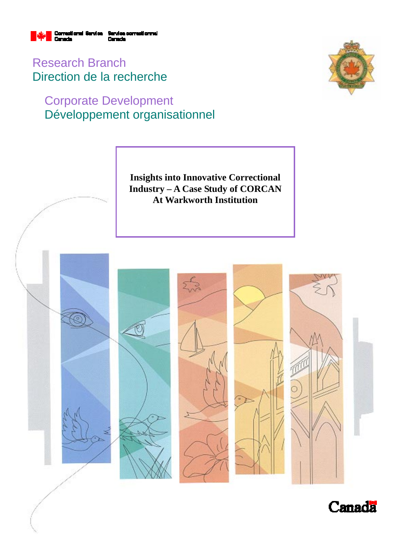

Research Branch Direction de la recherche

# Corporate Development Développement organisationnel



**Insights into Innovative Correctional Industry – A Case Study of CORCAN At Warkworth Institution** 



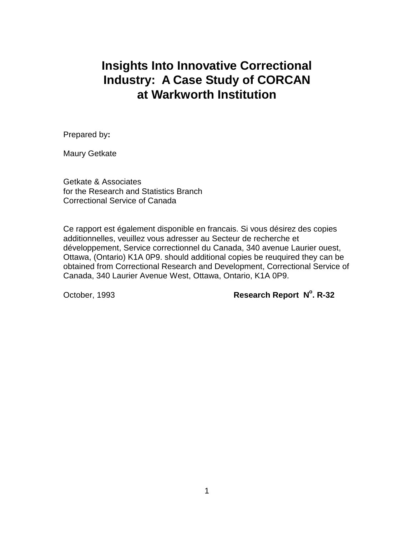# **Insights Into Innovative Correctional Industry: A Case Study of CORCAN at Warkworth Institution**

Prepared by**:**

Maury Getkate

Getkate & Associates for the Research and Statistics Branch Correctional Service of Canada

Ce rapport est également disponible en francais. Si vous désirez des copies additionnelles, veuillez vous adresser au Secteur de recherche et développement, Service correctionnel du Canada, 340 avenue Laurier ouest, Ottawa, (Ontario) K1A 0P9. should additional copies be reuquired they can be obtained from Correctional Research and Development, Correctional Service of Canada, 340 Laurier Avenue West, Ottawa, Ontario, K1A 0P9.

## **October, 1993 Research Report N°. R-32**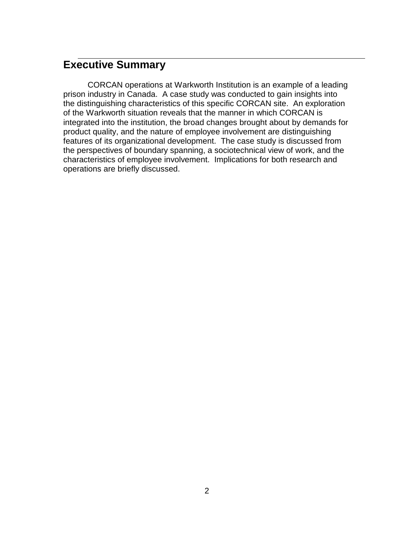# **Executive Summary**

CORCAN operations at Warkworth Institution is an example of a leading prison industry in Canada. A case study was conducted to gain insights into the distinguishing characteristics of this specific CORCAN site. An exploration of the Warkworth situation reveals that the manner in which CORCAN is integrated into the institution, the broad changes brought about by demands for product quality, and the nature of employee involvement are distinguishing features of its organizational development. The case study is discussed from the perspectives of boundary spanning, a sociotechnical view of work, and the characteristics of employee involvement. Implications for both research and operations are briefly discussed.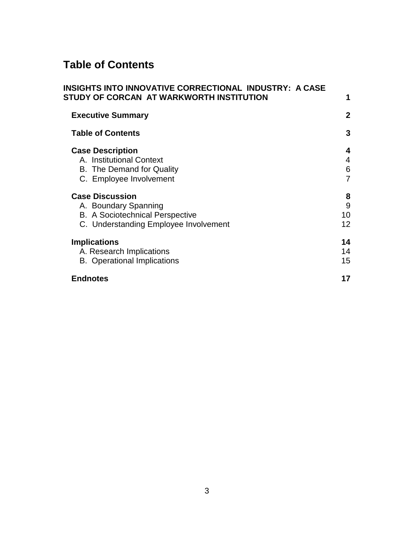# **Table of Contents**

| INSIGHTS INTO INNOVATIVE CORRECTIONAL  INDUSTRY:  A CASE<br>STUDY OF CORCAN  AT WARKWORTH INSTITUTION |              |
|-------------------------------------------------------------------------------------------------------|--------------|
|                                                                                                       |              |
| <b>Executive Summary</b>                                                                              | $\mathbf{2}$ |
| <b>Table of Contents</b>                                                                              | 3            |
| <b>Case Description</b>                                                                               | 4            |
| A. Institutional Context                                                                              | 4            |
| B. The Demand for Quality                                                                             | 6            |
| C. Employee Involvement                                                                               | 7            |
| <b>Case Discussion</b>                                                                                | 8            |
| A. Boundary Spanning                                                                                  | 9            |
| <b>B.</b> A Sociotechnical Perspective                                                                | 10           |
| C. Understanding Employee Involvement                                                                 | 12           |
| <b>Implications</b>                                                                                   | 14           |
| A. Research Implications                                                                              | 14           |
| <b>B.</b> Operational Implications                                                                    | 15           |
| <b>Endnotes</b>                                                                                       | 17           |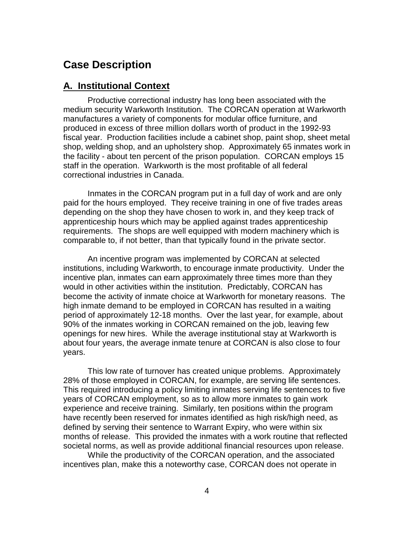## **Case Description**

## **A. Institutional Context**

Productive correctional industry has long been associated with the medium security Warkworth Institution. The CORCAN operation at Warkworth manufactures a variety of components for modular office furniture, and produced in excess of three million dollars worth of product in the 1992-93 fiscal year. Production facilities include a cabinet shop, paint shop, sheet metal shop, welding shop, and an upholstery shop. Approximately 65 inmates work in the facility - about ten percent of the prison population. CORCAN employs 15 staff in the operation. Warkworth is the most profitable of all federal correctional industries in Canada.

Inmates in the CORCAN program put in a full day of work and are only paid for the hours employed. They receive training in one of five trades areas depending on the shop they have chosen to work in, and they keep track of apprenticeship hours which may be applied against trades apprenticeship requirements. The shops are well equipped with modern machinery which is comparable to, if not better, than that typically found in the private sector.

An incentive program was implemented by CORCAN at selected institutions, including Warkworth, to encourage inmate productivity. Under the incentive plan, inmates can earn approximately three times more than they would in other activities within the institution. Predictably, CORCAN has become the activity of inmate choice at Warkworth for monetary reasons. The high inmate demand to be employed in CORCAN has resulted in a waiting period of approximately 12-18 months. Over the last year, for example, about 90% of the inmates working in CORCAN remained on the job, leaving few openings for new hires. While the average institutional stay at Warkworth is about four years, the average inmate tenure at CORCAN is also close to four years.

This low rate of turnover has created unique problems. Approximately 28% of those employed in CORCAN, for example, are serving life sentences. This required introducing a policy limiting inmates serving life sentences to five years of CORCAN employment, so as to allow more inmates to gain work experience and receive training. Similarly, ten positions within the program have recently been reserved for inmates identified as high risk/high need, as defined by serving their sentence to Warrant Expiry, who were within six months of release. This provided the inmates with a work routine that reflected societal norms, as well as provide additional financial resources upon release.

While the productivity of the CORCAN operation, and the associated incentives plan, make this a noteworthy case, CORCAN does not operate in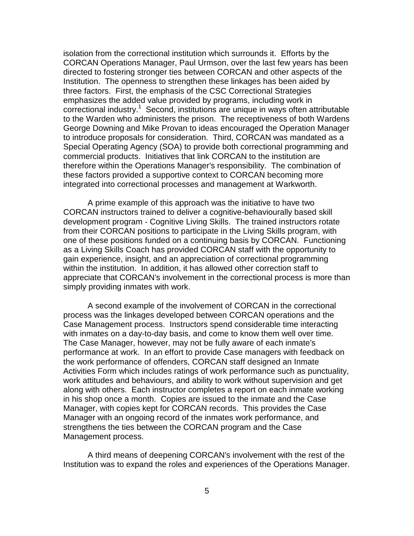isolation from the correctional institution which surrounds it. Efforts by the CORCAN Operations Manager, Paul Urmson, over the last few years has been directed to fostering stronger ties between CORCAN and other aspects of the Institution. The openness to strengthen these linkages has been aided by three factors. First, the emphasis of the CSC Correctional Strategies emphasizes the added value provided by programs, including work in correctional industry.<sup>1</sup> Second, institutions are unique in ways often attributable to the Warden who administers the prison. The receptiveness of both Wardens George Downing and Mike Provan to ideas encouraged the Operation Manager to introduce proposals for consideration. Third, CORCAN was mandated as a Special Operating Agency (SOA) to provide both correctional programming and commercial products. Initiatives that link CORCAN to the institution are therefore within the Operations Manager's responsibility. The combination of these factors provided a supportive context to CORCAN becoming more integrated into correctional processes and management at Warkworth.

A prime example of this approach was the initiative to have two CORCAN instructors trained to deliver a cognitive-behaviourally based skill development program - Cognitive Living Skills. The trained instructors rotate from their CORCAN positions to participate in the Living Skills program, with one of these positions funded on a continuing basis by CORCAN. Functioning as a Living Skills Coach has provided CORCAN staff with the opportunity to gain experience, insight, and an appreciation of correctional programming within the institution. In addition, it has allowed other correction staff to appreciate that CORCAN's involvement in the correctional process is more than simply providing inmates with work.

A second example of the involvement of CORCAN in the correctional process was the linkages developed between CORCAN operations and the Case Management process. Instructors spend considerable time interacting with inmates on a day-to-day basis, and come to know them well over time. The Case Manager, however, may not be fully aware of each inmate's performance at work. In an effort to provide Case managers with feedback on the work performance of offenders, CORCAN staff designed an Inmate Activities Form which includes ratings of work performance such as punctuality, work attitudes and behaviours, and ability to work without supervision and get along with others. Each instructor completes a report on each inmate working in his shop once a month. Copies are issued to the inmate and the Case Manager, with copies kept for CORCAN records. This provides the Case Manager with an ongoing record of the inmates work performance, and strengthens the ties between the CORCAN program and the Case Management process.

A third means of deepening CORCAN's involvement with the rest of the Institution was to expand the roles and experiences of the Operations Manager.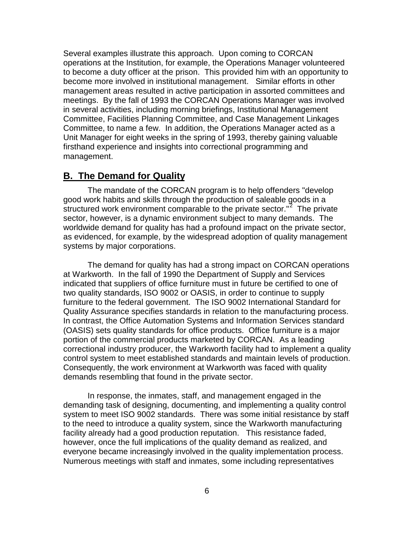Several examples illustrate this approach. Upon coming to CORCAN operations at the Institution, for example, the Operations Manager volunteered to become a duty officer at the prison. This provided him with an opportunity to become more involved in institutional management. Similar efforts in other management areas resulted in active participation in assorted committees and meetings. By the fall of 1993 the CORCAN Operations Manager was involved in several activities, including morning briefings, Institutional Management Committee, Facilities Planning Committee, and Case Management Linkages Committee, to name a few. In addition, the Operations Manager acted as a Unit Manager for eight weeks in the spring of 1993, thereby gaining valuable firsthand experience and insights into correctional programming and management.

## **B. The Demand for Quality**

The mandate of the CORCAN program is to help offenders "develop good work habits and skills through the production of saleable goods in a structured work environment comparable to the private sector."<sup>2</sup> The private sector, however, is a dynamic environment subject to many demands. The worldwide demand for quality has had a profound impact on the private sector, as evidenced, for example, by the widespread adoption of quality management systems by major corporations.

The demand for quality has had a strong impact on CORCAN operations at Warkworth. In the fall of 1990 the Department of Supply and Services indicated that suppliers of office furniture must in future be certified to one of two quality standards, ISO 9002 or OASIS, in order to continue to supply furniture to the federal government. The ISO 9002 International Standard for Quality Assurance specifies standards in relation to the manufacturing process. In contrast, the Office Automation Systems and Information Services standard (OASIS) sets quality standards for office products. Office furniture is a major portion of the commercial products marketed by CORCAN. As a leading correctional industry producer, the Warkworth facility had to implement a quality control system to meet established standards and maintain levels of production. Consequently, the work environment at Warkworth was faced with quality demands resembling that found in the private sector.

In response, the inmates, staff, and management engaged in the demanding task of designing, documenting, and implementing a quality control system to meet ISO 9002 standards. There was some initial resistance by staff to the need to introduce a quality system, since the Warkworth manufacturing facility already had a good production reputation. This resistance faded, however, once the full implications of the quality demand as realized, and everyone became increasingly involved in the quality implementation process. Numerous meetings with staff and inmates, some including representatives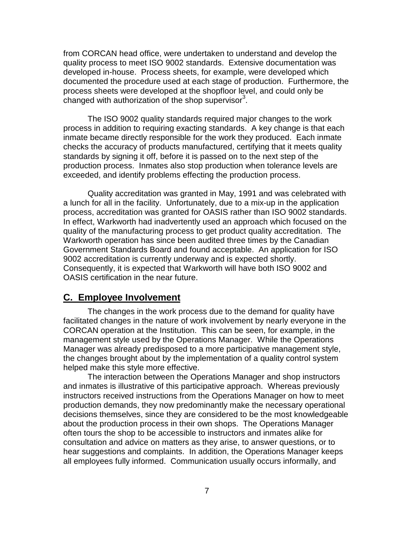from CORCAN head office, were undertaken to understand and develop the quality process to meet ISO 9002 standards. Extensive documentation was developed in-house. Process sheets, for example, were developed which documented the procedure used at each stage of production. Furthermore, the process sheets were developed at the shopfloor level, and could only be changed with authorization of the shop supervisor<sup>3</sup>.

The ISO 9002 quality standards required major changes to the work process in addition to requiring exacting standards. A key change is that each inmate became directly responsible for the work they produced. Each inmate checks the accuracy of products manufactured, certifying that it meets quality standards by signing it off, before it is passed on to the next step of the production process. Inmates also stop production when tolerance levels are exceeded, and identify problems effecting the production process.

Quality accreditation was granted in May, 1991 and was celebrated with a lunch for all in the facility. Unfortunately, due to a mix-up in the application process, accreditation was granted for OASIS rather than ISO 9002 standards. In effect, Warkworth had inadvertently used an approach which focused on the quality of the manufacturing process to get product quality accreditation. The Warkworth operation has since been audited three times by the Canadian Government Standards Board and found acceptable. An application for ISO 9002 accreditation is currently underway and is expected shortly. Consequently, it is expected that Warkworth will have both ISO 9002 and OASIS certification in the near future.

#### **C. Employee Involvement**

The changes in the work process due to the demand for quality have facilitated changes in the nature of work involvement by nearly everyone in the CORCAN operation at the Institution. This can be seen, for example, in the management style used by the Operations Manager. While the Operations Manager was already predisposed to a more participative management style, the changes brought about by the implementation of a quality control system helped make this style more effective.

The interaction between the Operations Manager and shop instructors and inmates is illustrative of this participative approach. Whereas previously instructors received instructions from the Operations Manager on how to meet production demands, they now predominantly make the necessary operational decisions themselves, since they are considered to be the most knowledgeable about the production process in their own shops. The Operations Manager often tours the shop to be accessible to instructors and inmates alike for consultation and advice on matters as they arise, to answer questions, or to hear suggestions and complaints. In addition, the Operations Manager keeps all employees fully informed. Communication usually occurs informally, and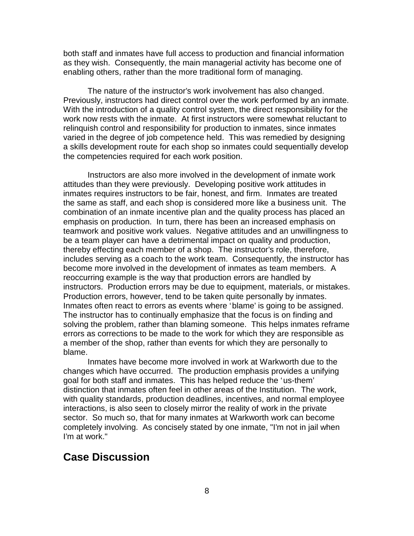both staff and inmates have full access to production and financial information as they wish. Consequently, the main managerial activity has become one of enabling others, rather than the more traditional form of managing.

The nature of the instructor's work involvement has also changed. Previously, instructors had direct control over the work performed by an inmate. With the introduction of a quality control system, the direct responsibility for the work now rests with the inmate. At first instructors were somewhat reluctant to relinquish control and responsibility for production to inmates, since inmates varied in the degree of job competence held. This was remedied by designing a skills development route for each shop so inmates could sequentially develop the competencies required for each work position.

Instructors are also more involved in the development of inmate work attitudes than they were previously. Developing positive work attitudes in inmates requires instructors to be fair, honest, and firm. Inmates are treated the same as staff, and each shop is considered more like a business unit. The combination of an inmate incentive plan and the quality process has placed an emphasis on production. In turn, there has been an increased emphasis on teamwork and positive work values. Negative attitudes and an unwillingness to be a team player can have a detrimental impact on quality and production, thereby effecting each member of a shop. The instructor's role, therefore, includes serving as a coach to the work team. Consequently, the instructor has become more involved in the development of inmates as team members. A reoccurring example is the way that production errors are handled by instructors. Production errors may be due to equipment, materials, or mistakes. Production errors, however, tend to be taken quite personally by inmates. Inmates often react to errors as events where 'blame' is going to be assigned. The instructor has to continually emphasize that the focus is on finding and solving the problem, rather than blaming someone. This helps inmates reframe errors as corrections to be made to the work for which they are responsible as a member of the shop, rather than events for which they are personally to blame.

Inmates have become more involved in work at Warkworth due to the changes which have occurred. The production emphasis provides a unifying goal for both staff and inmates. This has helped reduce the 'us-them' distinction that inmates often feel in other areas of the Institution. The work, with quality standards, production deadlines, incentives, and normal employee interactions, is also seen to closely mirror the reality of work in the private sector. So much so, that for many inmates at Warkworth work can become completely involving. As concisely stated by one inmate, "I'm not in jail when I'm at work."

## **Case Discussion**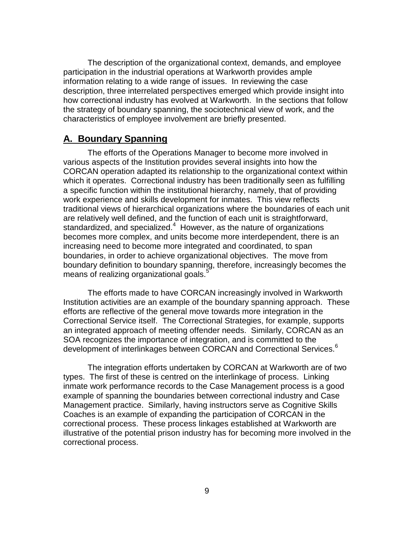The description of the organizational context, demands, and employee participation in the industrial operations at Warkworth provides ample information relating to a wide range of issues. In reviewing the case description, three interrelated perspectives emerged which provide insight into how correctional industry has evolved at Warkworth. In the sections that follow the strategy of boundary spanning, the sociotechnical view of work, and the characteristics of employee involvement are briefly presented.

#### **A. Boundary Spanning**

The efforts of the Operations Manager to become more involved in various aspects of the Institution provides several insights into how the CORCAN operation adapted its relationship to the organizational context within which it operates. Correctional industry has been traditionally seen as fulfilling a specific function within the institutional hierarchy, namely, that of providing work experience and skills development for inmates. This view reflects traditional views of hierarchical organizations where the boundaries of each unit are relatively well defined, and the function of each unit is straightforward, standardized, and specialized.<sup>4</sup> However, as the nature of organizations becomes more complex, and units become more interdependent, there is an increasing need to become more integrated and coordinated, to span boundaries, in order to achieve organizational objectives. The move from boundary definition to boundary spanning, therefore, increasingly becomes the means of realizing organizational goals.<sup>5</sup>

The efforts made to have CORCAN increasingly involved in Warkworth Institution activities are an example of the boundary spanning approach. These efforts are reflective of the general move towards more integration in the Correctional Service itself. The Correctional Strategies, for example, supports an integrated approach of meeting offender needs. Similarly, CORCAN as an SOA recognizes the importance of integration, and is committed to the development of interlinkages between CORCAN and Correctional Services.<sup>6</sup>

The integration efforts undertaken by CORCAN at Warkworth are of two types. The first of these is centred on the interlinkage of process. Linking inmate work performance records to the Case Management process is a good example of spanning the boundaries between correctional industry and Case Management practice. Similarly, having instructors serve as Cognitive Skills Coaches is an example of expanding the participation of CORCAN in the correctional process. These process linkages established at Warkworth are illustrative of the potential prison industry has for becoming more involved in the correctional process.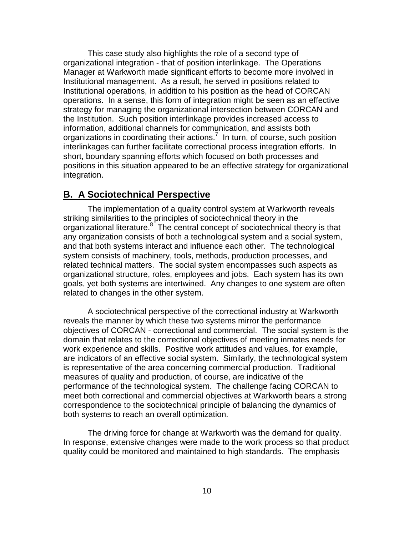This case study also highlights the role of a second type of organizational integration - that of position interlinkage. The Operations Manager at Warkworth made significant efforts to become more involved in Institutional management. As a result, he served in positions related to Institutional operations, in addition to his position as the head of CORCAN operations. In a sense, this form of integration might be seen as an effective strategy for managing the organizational intersection between CORCAN and the Institution. Such position interlinkage provides increased access to information, additional channels for communication, and assists both organizations in coordinating their actions.<sup>7</sup> In turn, of course, such position interlinkages can further facilitate correctional process integration efforts. In short, boundary spanning efforts which focused on both processes and positions in this situation appeared to be an effective strategy for organizational integration.

#### **B. A Sociotechnical Perspective**

The implementation of a quality control system at Warkworth reveals striking similarities to the principles of sociotechnical theory in the organizational literature.<sup>8</sup> The central concept of sociotechnical theory is that any organization consists of both a technological system and a social system, and that both systems interact and influence each other. The technological system consists of machinery, tools, methods, production processes, and related technical matters. The social system encompasses such aspects as organizational structure, roles, employees and jobs. Each system has its own goals, yet both systems are intertwined. Any changes to one system are often related to changes in the other system.

A sociotechnical perspective of the correctional industry at Warkworth reveals the manner by which these two systems mirror the performance objectives of CORCAN - correctional and commercial. The social system is the domain that relates to the correctional objectives of meeting inmates needs for work experience and skills. Positive work attitudes and values, for example, are indicators of an effective social system. Similarly, the technological system is representative of the area concerning commercial production. Traditional measures of quality and production, of course, are indicative of the performance of the technological system. The challenge facing CORCAN to meet both correctional and commercial objectives at Warkworth bears a strong correspondence to the sociotechnical principle of balancing the dynamics of both systems to reach an overall optimization.

The driving force for change at Warkworth was the demand for quality. In response, extensive changes were made to the work process so that product quality could be monitored and maintained to high standards. The emphasis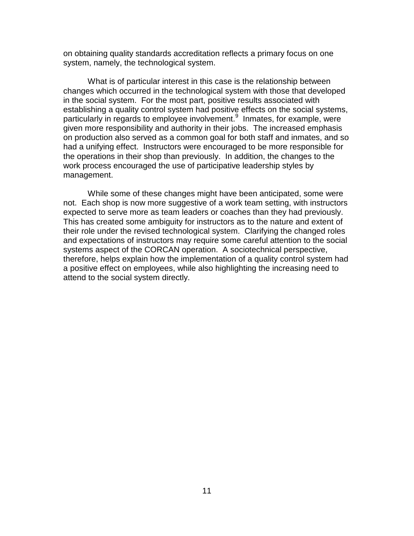on obtaining quality standards accreditation reflects a primary focus on one system, namely, the technological system.

What is of particular interest in this case is the relationship between changes which occurred in the technological system with those that developed in the social system. For the most part, positive results associated with establishing a quality control system had positive effects on the social systems, particularly in regards to employee involvement.<sup>9</sup> Inmates, for example, were given more responsibility and authority in their jobs. The increased emphasis on production also served as a common goal for both staff and inmates, and so had a unifying effect. Instructors were encouraged to be more responsible for the operations in their shop than previously. In addition, the changes to the work process encouraged the use of participative leadership styles by management.

While some of these changes might have been anticipated, some were not. Each shop is now more suggestive of a work team setting, with instructors expected to serve more as team leaders or coaches than they had previously. This has created some ambiguity for instructors as to the nature and extent of their role under the revised technological system. Clarifying the changed roles and expectations of instructors may require some careful attention to the social systems aspect of the CORCAN operation. A sociotechnical perspective, therefore, helps explain how the implementation of a quality control system had a positive effect on employees, while also highlighting the increasing need to attend to the social system directly.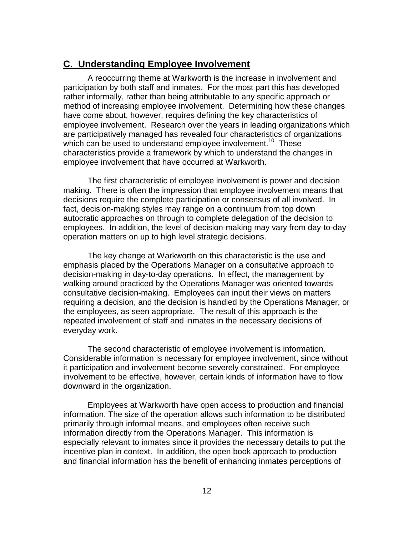### **C. Understanding Employee Involvement**

A reoccurring theme at Warkworth is the increase in involvement and participation by both staff and inmates. For the most part this has developed rather informally, rather than being attributable to any specific approach or method of increasing employee involvement. Determining how these changes have come about, however, requires defining the key characteristics of employee involvement. Research over the years in leading organizations which are participatively managed has revealed four characteristics of organizations which can be used to understand employee involvement.<sup>10</sup> These characteristics provide a framework by which to understand the changes in employee involvement that have occurred at Warkworth.

The first characteristic of employee involvement is power and decision making. There is often the impression that employee involvement means that decisions require the complete participation or consensus of all involved. In fact, decision-making styles may range on a continuum from top down autocratic approaches on through to complete delegation of the decision to employees. In addition, the level of decision-making may vary from day-to-day operation matters on up to high level strategic decisions.

The key change at Warkworth on this characteristic is the use and emphasis placed by the Operations Manager on a consultative approach to decision-making in day-to-day operations. In effect, the management by walking around practiced by the Operations Manager was oriented towards consultative decision-making. Employees can input their views on matters requiring a decision, and the decision is handled by the Operations Manager, or the employees, as seen appropriate. The result of this approach is the repeated involvement of staff and inmates in the necessary decisions of everyday work.

The second characteristic of employee involvement is information. Considerable information is necessary for employee involvement, since without it participation and involvement become severely constrained. For employee involvement to be effective, however, certain kinds of information have to flow downward in the organization.

Employees at Warkworth have open access to production and financial information. The size of the operation allows such information to be distributed primarily through informal means, and employees often receive such information directly from the Operations Manager. This information is especially relevant to inmates since it provides the necessary details to put the incentive plan in context. In addition, the open book approach to production and financial information has the benefit of enhancing inmates perceptions of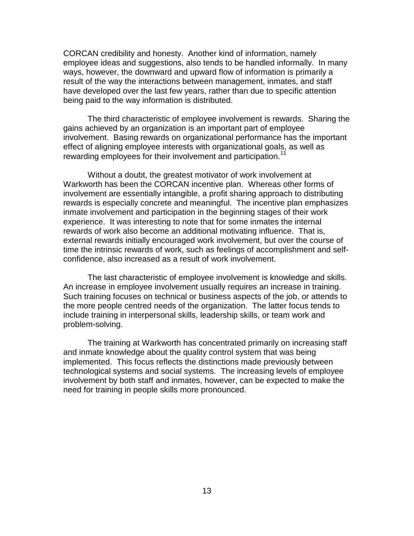CORCAN credibility and honesty. Another kind of information, namely employee ideas and suggestions, also tends to be handled informally. In many ways, however, the downward and upward flow of information is primarily a result of the way the interactions between management, inmates, and staff have developed over the last few years, rather than due to specific attention being paid to the way information is distributed.

The third characteristic of employee involvement is rewards. Sharing the gains achieved by an organization is an important part of employee involvement. Basing rewards on organizational performance has the important effect of aligning employee interests with organizational goals, as well as rewarding employees for their involvement and participation.<sup>1</sup>

Without a doubt, the greatest motivator of work involvement at Warkworth has been the CORCAN incentive plan. Whereas other forms of involvement are essentially intangible, a profit sharing approach to distributing rewards is especially concrete and meaningful. The incentive plan emphasizes inmate involvement and participation in the beginning stages of their work experience. It was interesting to note that for some inmates the internal rewards of work also become an additional motivating influence. That is, external rewards initially encouraged work involvement, but over the course of time the intrinsic rewards of work, such as feelings of accomplishment and selfconfidence, also increased as a result of work involvement.

The last characteristic of employee involvement is knowledge and skills. An increase in employee involvement usually requires an increase in training. Such training focuses on technical or business aspects of the job, or attends to the more people centred needs of the organization. The latter focus tends to include training in interpersonal skills, leadership skills, or team work and problem-solving.

The training at Warkworth has concentrated primarily on increasing staff and inmate knowledge about the quality control system that was being implemented. This focus reflects the distinctions made previously between technological systems and social systems. The increasing levels of employee involvement by both staff and inmates, however, can be expected to make the need for training in people skills more pronounced.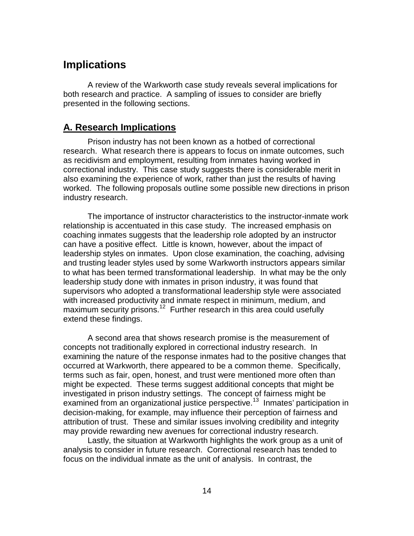## **Implications**

A review of the Warkworth case study reveals several implications for both research and practice. A sampling of issues to consider are briefly presented in the following sections.

## **A. Research Implications**

Prison industry has not been known as a hotbed of correctional research. What research there is appears to focus on inmate outcomes, such as recidivism and employment, resulting from inmates having worked in correctional industry. This case study suggests there is considerable merit in also examining the experience of work, rather than just the results of having worked. The following proposals outline some possible new directions in prison industry research.

The importance of instructor characteristics to the instructor-inmate work relationship is accentuated in this case study. The increased emphasis on coaching inmates suggests that the leadership role adopted by an instructor can have a positive effect. Little is known, however, about the impact of leadership styles on inmates. Upon close examination, the coaching, advising and trusting leader styles used by some Warkworth instructors appears similar to what has been termed transformational leadership. In what may be the only leadership study done with inmates in prison industry, it was found that supervisors who adopted a transformational leadership style were associated with increased productivity and inmate respect in minimum, medium, and maximum security prisons.<sup>12</sup> Further research in this area could usefully extend these findings.

A second area that shows research promise is the measurement of concepts not traditionally explored in correctional industry research. In examining the nature of the response inmates had to the positive changes that occurred at Warkworth, there appeared to be a common theme. Specifically, terms such as fair, open, honest, and trust were mentioned more often than might be expected. These terms suggest additional concepts that might be investigated in prison industry settings. The concept of fairness might be examined from an organizational justice perspective.<sup>13</sup> Inmates' participation in decision-making, for example, may influence their perception of fairness and attribution of trust. These and similar issues involving credibility and integrity may provide rewarding new avenues for correctional industry research.

Lastly, the situation at Warkworth highlights the work group as a unit of analysis to consider in future research. Correctional research has tended to focus on the individual inmate as the unit of analysis. In contrast, the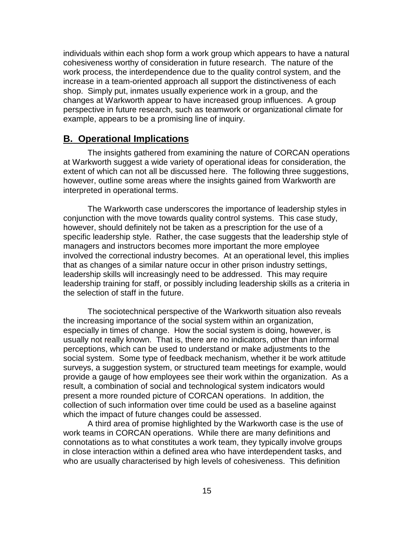individuals within each shop form a work group which appears to have a natural cohesiveness worthy of consideration in future research. The nature of the work process, the interdependence due to the quality control system, and the increase in a team-oriented approach all support the distinctiveness of each shop. Simply put, inmates usually experience work in a group, and the changes at Warkworth appear to have increased group influences. A group perspective in future research, such as teamwork or organizational climate for example, appears to be a promising line of inquiry.

#### **B. Operational Implications**

The insights gathered from examining the nature of CORCAN operations at Warkworth suggest a wide variety of operational ideas for consideration, the extent of which can not all be discussed here. The following three suggestions, however, outline some areas where the insights gained from Warkworth are interpreted in operational terms.

The Warkworth case underscores the importance of leadership styles in conjunction with the move towards quality control systems. This case study, however, should definitely not be taken as a prescription for the use of a specific leadership style. Rather, the case suggests that the leadership style of managers and instructors becomes more important the more employee involved the correctional industry becomes. At an operational level, this implies that as changes of a similar nature occur in other prison industry settings, leadership skills will increasingly need to be addressed. This may require leadership training for staff, or possibly including leadership skills as a criteria in the selection of staff in the future.

The sociotechnical perspective of the Warkworth situation also reveals the increasing importance of the social system within an organization, especially in times of change. How the social system is doing, however, is usually not really known. That is, there are no indicators, other than informal perceptions, which can be used to understand or make adjustments to the social system. Some type of feedback mechanism, whether it be work attitude surveys, a suggestion system, or structured team meetings for example, would provide a gauge of how employees see their work within the organization. As a result, a combination of social and technological system indicators would present a more rounded picture of CORCAN operations. In addition, the collection of such information over time could be used as a baseline against which the impact of future changes could be assessed.

A third area of promise highlighted by the Warkworth case is the use of work teams in CORCAN operations. While there are many definitions and connotations as to what constitutes a work team, they typically involve groups in close interaction within a defined area who have interdependent tasks, and who are usually characterised by high levels of cohesiveness. This definition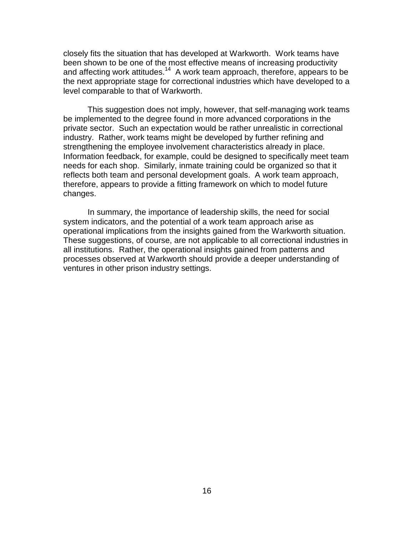closely fits the situation that has developed at Warkworth. Work teams have been shown to be one of the most effective means of increasing productivity and affecting work attitudes.<sup>14</sup> A work team approach, therefore, appears to be the next appropriate stage for correctional industries which have developed to a level comparable to that of Warkworth.

This suggestion does not imply, however, that self-managing work teams be implemented to the degree found in more advanced corporations in the private sector. Such an expectation would be rather unrealistic in correctional industry. Rather, work teams might be developed by further refining and strengthening the employee involvement characteristics already in place. Information feedback, for example, could be designed to specifically meet team needs for each shop. Similarly, inmate training could be organized so that it reflects both team and personal development goals. A work team approach, therefore, appears to provide a fitting framework on which to model future changes.

In summary, the importance of leadership skills, the need for social system indicators, and the potential of a work team approach arise as operational implications from the insights gained from the Warkworth situation. These suggestions, of course, are not applicable to all correctional industries in all institutions. Rather, the operational insights gained from patterns and processes observed at Warkworth should provide a deeper understanding of ventures in other prison industry settings.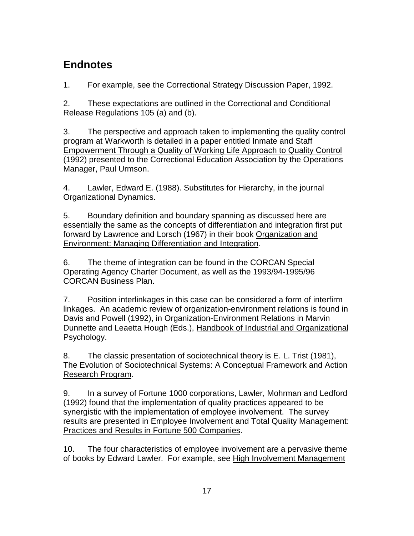# **Endnotes**

1. For example, see the Correctional Strategy Discussion Paper, 1992.

2. These expectations are outlined in the Correctional and Conditional Release Regulations 105 (a) and (b).

3. The perspective and approach taken to implementing the quality control program at Warkworth is detailed in a paper entitled Inmate and Staff Empowerment Through a Quality of Working Life Approach to Quality Control (1992) presented to the Correctional Education Association by the Operations Manager, Paul Urmson.

4. Lawler, Edward E. (1988). Substitutes for Hierarchy, in the journal Organizational Dynamics.

5. Boundary definition and boundary spanning as discussed here are essentially the same as the concepts of differentiation and integration first put forward by Lawrence and Lorsch (1967) in their book Organization and Environment: Managing Differentiation and Integration.

6. The theme of integration can be found in the CORCAN Special Operating Agency Charter Document, as well as the 1993/94-1995/96 CORCAN Business Plan.

7. Position interlinkages in this case can be considered a form of interfirm linkages. An academic review of organization-environment relations is found in Davis and Powell (1992), in Organization-Environment Relations in Marvin Dunnette and Leaetta Hough (Eds.), Handbook of Industrial and Organizational Psychology.

8. The classic presentation of sociotechnical theory is E. L. Trist (1981), The Evolution of Sociotechnical Systems: A Conceptual Framework and Action Research Program.

9. In a survey of Fortune 1000 corporations, Lawler, Mohrman and Ledford (1992) found that the implementation of quality practices appeared to be synergistic with the implementation of employee involvement. The survey results are presented in Employee Involvement and Total Quality Management: Practices and Results in Fortune 500 Companies.

10. The four characteristics of employee involvement are a pervasive theme of books by Edward Lawler. For example, see High Involvement Management